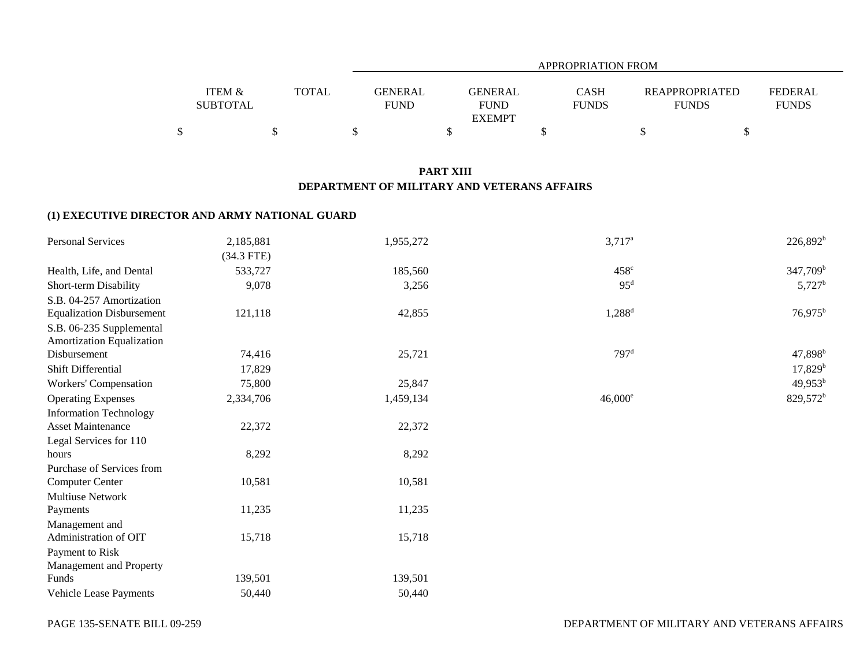|                           |              | APPROPRIATION FROM            |                                                |                             |                                       |                                |  |  |  |  |  |
|---------------------------|--------------|-------------------------------|------------------------------------------------|-----------------------------|---------------------------------------|--------------------------------|--|--|--|--|--|
| ITEM &<br><b>SUBTOTAL</b> | <b>TOTAL</b> | <b>GENERAL</b><br><b>FUND</b> | <b>GENERAL</b><br><b>FUND</b><br><b>EXEMPT</b> | <b>CASH</b><br><b>FUNDS</b> | <b>REAPPROPRIATED</b><br><b>FUNDS</b> | <b>FEDERAL</b><br><b>FUNDS</b> |  |  |  |  |  |
|                           |              |                               |                                                |                             |                                       |                                |  |  |  |  |  |

## **PART XIII DEPARTMENT OF MILITARY AND VETERANS AFFAIRS**

## **(1) EXECUTIVE DIRECTOR AND ARMY NATIONAL GUARD**

| Personal Services                | 2,185,881    | 1,955,272 | $3,717^{\rm a}$  | $226,892^b$          |
|----------------------------------|--------------|-----------|------------------|----------------------|
|                                  | $(34.3$ FTE) |           |                  |                      |
| Health, Life, and Dental         | 533,727      | 185,560   | $458^\circ$      | $347,709^b$          |
| Short-term Disability            | 9,078        | 3,256     | 95 <sup>d</sup>  | $5,727^{\rm b}$      |
| S.B. 04-257 Amortization         |              |           |                  |                      |
| <b>Equalization Disbursement</b> | 121,118      | 42,855    | $1,288^d$        | $76,975^{\rm b}$     |
| S.B. 06-235 Supplemental         |              |           |                  |                      |
| Amortization Equalization        |              |           |                  |                      |
| Disbursement                     | 74,416       | 25,721    | 797 <sup>d</sup> | $47,898^{\rm b}$     |
| Shift Differential               | 17,829       |           |                  | 17,829 <sup>b</sup>  |
| Workers' Compensation            | 75,800       | 25,847    |                  | $49,953^b$           |
| <b>Operating Expenses</b>        | 2,334,706    | 1,459,134 | $46,000^e$       | 829,572 <sup>b</sup> |
| <b>Information Technology</b>    |              |           |                  |                      |
| <b>Asset Maintenance</b>         | 22,372       | 22,372    |                  |                      |
| Legal Services for 110           |              |           |                  |                      |
| hours                            | 8,292        | 8,292     |                  |                      |
| Purchase of Services from        |              |           |                  |                      |
| <b>Computer Center</b>           | 10,581       | 10,581    |                  |                      |
| Multiuse Network                 |              |           |                  |                      |
| Payments                         | 11,235       | 11,235    |                  |                      |
| Management and                   |              |           |                  |                      |
| Administration of OIT            | 15,718       | 15,718    |                  |                      |
| Payment to Risk                  |              |           |                  |                      |
| Management and Property          |              |           |                  |                      |
| Funds                            | 139,501      | 139,501   |                  |                      |
| Vehicle Lease Payments           | 50,440       | 50,440    |                  |                      |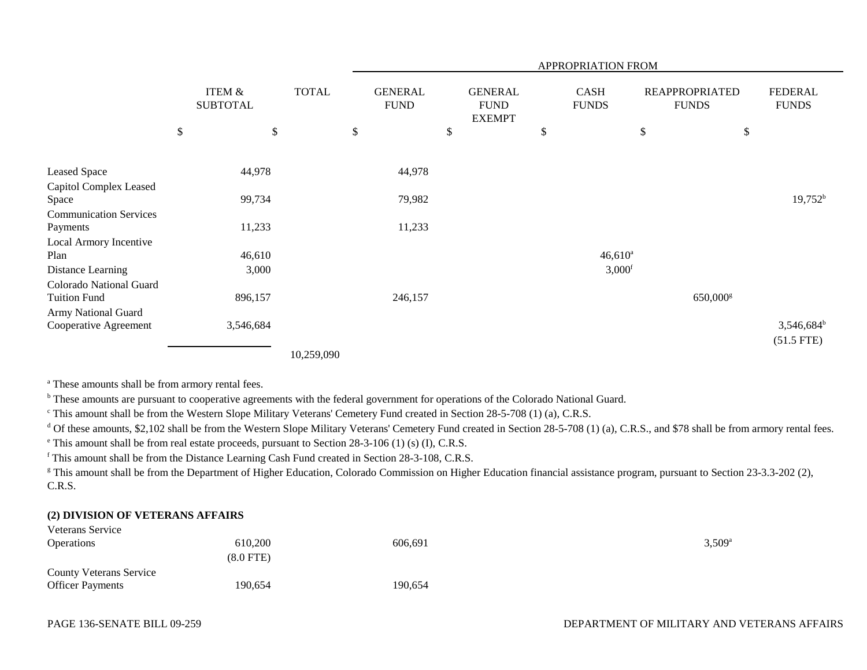|                               |      |                                      |              | APPROPRIATION FROM            |    |                                                |    |                             |                                       |                        |                                |  |
|-------------------------------|------|--------------------------------------|--------------|-------------------------------|----|------------------------------------------------|----|-----------------------------|---------------------------------------|------------------------|--------------------------------|--|
|                               |      | <b>ITEM &amp;</b><br><b>SUBTOTAL</b> | <b>TOTAL</b> | <b>GENERAL</b><br><b>FUND</b> |    | <b>GENERAL</b><br><b>FUND</b><br><b>EXEMPT</b> |    | <b>CASH</b><br><b>FUNDS</b> | <b>REAPPROPRIATED</b><br><b>FUNDS</b> |                        | <b>FEDERAL</b><br><b>FUNDS</b> |  |
|                               | $\$$ | $\boldsymbol{\mathsf{S}}$            |              | \$                            | \$ |                                                | \$ |                             | $\$$                                  | \$                     |                                |  |
|                               |      |                                      |              |                               |    |                                                |    |                             |                                       |                        |                                |  |
| Leased Space                  |      | 44,978                               |              | 44,978                        |    |                                                |    |                             |                                       |                        |                                |  |
| Capitol Complex Leased        |      |                                      |              |                               |    |                                                |    |                             |                                       |                        |                                |  |
| Space                         |      | 99,734                               |              | 79,982                        |    |                                                |    |                             |                                       |                        | $19,752^b$                     |  |
| <b>Communication Services</b> |      |                                      |              |                               |    |                                                |    |                             |                                       |                        |                                |  |
| Payments                      |      | 11,233                               |              | 11,233                        |    |                                                |    |                             |                                       |                        |                                |  |
| Local Armory Incentive        |      |                                      |              |                               |    |                                                |    |                             |                                       |                        |                                |  |
| Plan                          |      | 46,610                               |              |                               |    |                                                |    | $46,610^a$                  |                                       |                        |                                |  |
| Distance Learning             |      | 3,000                                |              |                               |    |                                                |    | 3,000 <sup>f</sup>          |                                       |                        |                                |  |
| Colorado National Guard       |      |                                      |              |                               |    |                                                |    |                             |                                       |                        |                                |  |
| <b>Tuition Fund</b>           |      | 896,157                              |              | 246,157                       |    |                                                |    |                             |                                       | $650,000$ <sup>g</sup> |                                |  |
| Army National Guard           |      |                                      |              |                               |    |                                                |    |                             |                                       |                        |                                |  |
| Cooperative Agreement         |      | 3,546,684                            |              |                               |    |                                                |    |                             |                                       |                        | 3,546,684 <sup>b</sup>         |  |
|                               |      |                                      |              |                               |    |                                                |    |                             |                                       |                        | $(51.5$ FTE)                   |  |
|                               |      |                                      | 10,259,090   |                               |    |                                                |    |                             |                                       |                        |                                |  |

<sup>a</sup> These amounts shall be from armory rental fees.

<sup>b</sup> These amounts are pursuant to cooperative agreements with the federal government for operations of the Colorado National Guard.

c This amount shall be from the Western Slope Military Veterans' Cemetery Fund created in Section 28-5-708 (1) (a), C.R.S.

<sup>d</sup> Of these amounts, \$2,102 shall be from the Western Slope Military Veterans' Cemetery Fund created in Section 28-5-708 (1) (a), C.R.S., and \$78 shall be from armory rental fees.

e This amount shall be from real estate proceeds, pursuant to Section 28-3-106 (1) (s) (I), C.R.S.

f This amount shall be from the Distance Learning Cash Fund created in Section 28-3-108, C.R.S.

<sup>g</sup> This amount shall be from the Department of Higher Education, Colorado Commission on Higher Education financial assistance program, pursuant to Section 23-3.3-202 (2), C.R.S.

## **(2) DIVISION OF VETERANS AFFAIRS**

| <b>Veterans Service</b>        |             |         |                 |
|--------------------------------|-------------|---------|-----------------|
| <i><b>Operations</b></i>       | 610.200     | 606,691 | $3,509^{\circ}$ |
|                                | $(8.0$ FTE) |         |                 |
| <b>County Veterans Service</b> |             |         |                 |
| <b>Officer Payments</b>        | 190,654     | 190,654 |                 |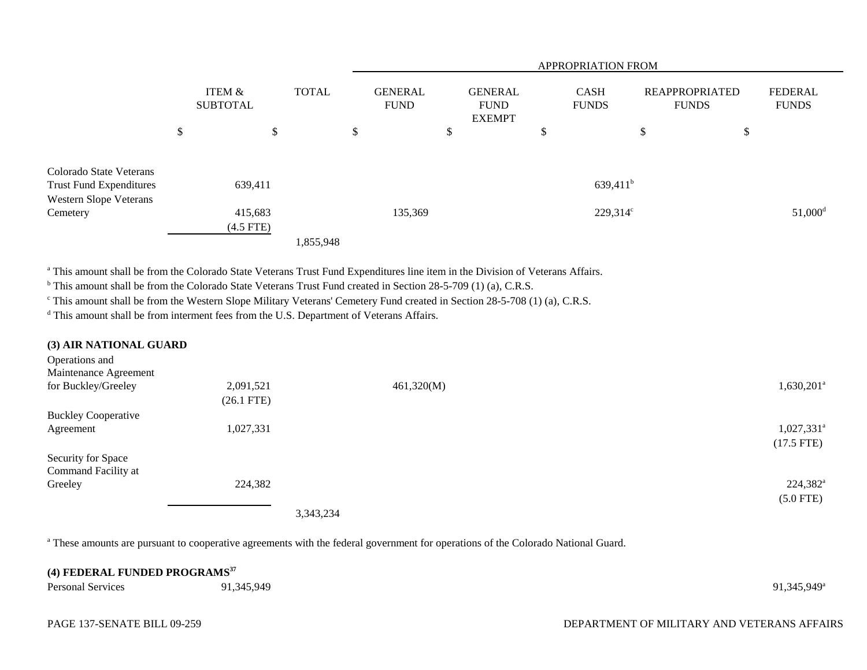|                                                           |                           |                                               |           | <b>APPROPRIATION FROM</b>                      |         |    |                             |                                       |                        |                                |    |                       |
|-----------------------------------------------------------|---------------------------|-----------------------------------------------|-----------|------------------------------------------------|---------|----|-----------------------------|---------------------------------------|------------------------|--------------------------------|----|-----------------------|
|                                                           | ITEM &<br><b>SUBTOTAL</b> | <b>TOTAL</b><br><b>GENERAL</b><br><b>FUND</b> |           | <b>GENERAL</b><br><b>FUND</b><br><b>EXEMPT</b> |         |    | <b>CASH</b><br><b>FUNDS</b> | <b>REAPPROPRIATED</b><br><b>FUNDS</b> |                        | <b>FEDERAL</b><br><b>FUNDS</b> |    |                       |
|                                                           | \$                        | \$                                            |           | \$                                             |         | \$ |                             | \$                                    |                        | \$                             | \$ |                       |
| Colorado State Veterans<br><b>Trust Fund Expenditures</b> | 639,411                   |                                               |           |                                                |         |    |                             |                                       | $639,411$ <sup>b</sup> |                                |    |                       |
| Western Slope Veterans                                    |                           |                                               |           |                                                |         |    |                             |                                       |                        |                                |    |                       |
| Cemetery                                                  | 415,683                   |                                               |           |                                                | 135,369 |    |                             |                                       | $229,314^{\circ}$      |                                |    | $51,000$ <sup>d</sup> |
|                                                           | $(4.5$ FTE)               |                                               |           |                                                |         |    |                             |                                       |                        |                                |    |                       |
|                                                           |                           |                                               | 1,855,948 |                                                |         |    |                             |                                       |                        |                                |    |                       |

<sup>a</sup> This amount shall be from the Colorado State Veterans Trust Fund Expenditures line item in the Division of Veterans Affairs.

<sup>b</sup> This amount shall be from the Colorado State Veterans Trust Fund created in Section 28-5-709 (1) (a), C.R.S.

c This amount shall be from the Western Slope Military Veterans' Cemetery Fund created in Section 28-5-708 (1) (a), C.R.S.

<sup>d</sup> This amount shall be from interment fees from the U.S. Department of Veterans Affairs.

| (3) AIR NATIONAL GUARD     |              |            |                          |
|----------------------------|--------------|------------|--------------------------|
| Operations and             |              |            |                          |
| Maintenance Agreement      |              |            |                          |
| for Buckley/Greeley        | 2,091,521    | 461,320(M) | $1,630,201^a$            |
|                            | $(26.1$ FTE) |            |                          |
| <b>Buckley Cooperative</b> |              |            |                          |
| Agreement                  | 1,027,331    |            | $1,027,331$ <sup>a</sup> |
|                            |              |            | $(17.5$ FTE)             |
| Security for Space         |              |            |                          |
| Command Facility at        |              |            |                          |
| Greeley                    | 224,382      |            | $224,382^{\rm a}$        |
|                            |              |            | $(5.0$ FTE)              |
|                            |              | 3,343,234  |                          |

<sup>a</sup> These amounts are pursuant to cooperative agreements with the federal government for operations of the Colorado National Guard.

| (4) FEDERAL FUNDED PROGRAMS <sup>37</sup> |            |                         |  |  |  |  |  |
|-------------------------------------------|------------|-------------------------|--|--|--|--|--|
| <b>Personal Services</b>                  | 91,345,949 | 91.345.949 <sup>a</sup> |  |  |  |  |  |